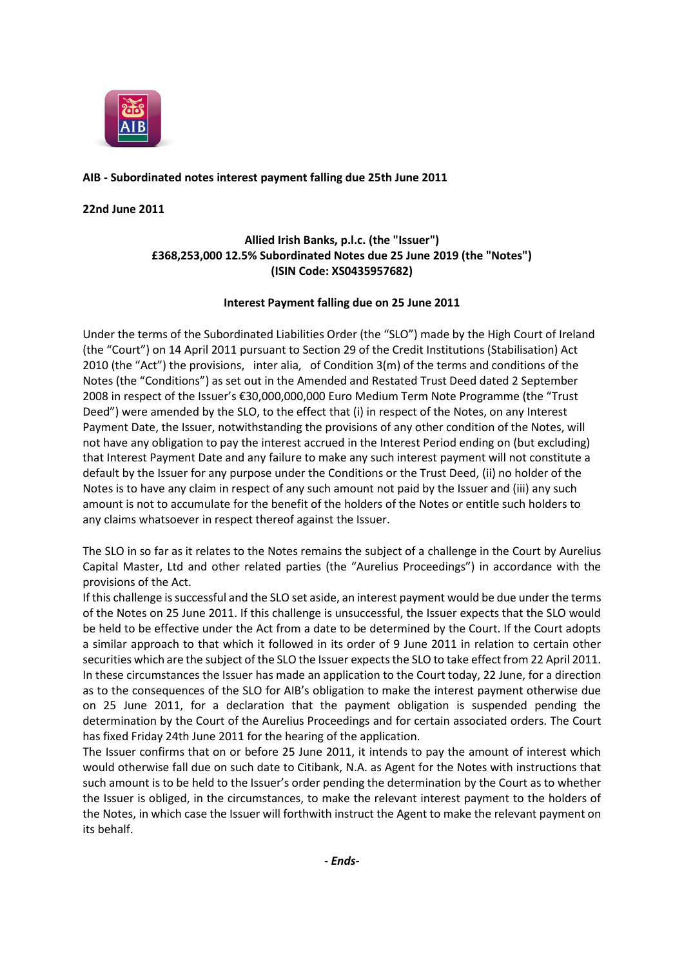

## **AIB - Subordinated notes interest payment falling due 25th June 2011**

### **22nd June 2011**

# **Allied Irish Banks, p.l.c. (the "Issuer") £368,253,000 12.5% Subordinated Notes due 25 June 2019 (the "Notes") (ISIN Code: XS0435957682)**

### **Interest Payment falling due on 25 June 2011**

Under the terms of the Subordinated Liabilities Order (the "SLO") made by the High Court of Ireland (the "Court") on 14 April 2011 pursuant to Section 29 of the Credit Institutions (Stabilisation) Act 2010 (the "Act") the provisions, inter alia, of Condition 3(m) of the terms and conditions of the Notes (the "Conditions") as set out in the Amended and Restated Trust Deed dated 2 September 2008 in respect of the Issuer's €30,000,000,000 Euro Medium Term Note Programme (the "Trust Deed") were amended by the SLO, to the effect that (i) in respect of the Notes, on any Interest Payment Date, the Issuer, notwithstanding the provisions of any other condition of the Notes, will not have any obligation to pay the interest accrued in the Interest Period ending on (but excluding) that Interest Payment Date and any failure to make any such interest payment will not constitute a default by the Issuer for any purpose under the Conditions or the Trust Deed, (ii) no holder of the Notes is to have any claim in respect of any such amount not paid by the Issuer and (iii) any such amount is not to accumulate for the benefit of the holders of the Notes or entitle such holders to any claims whatsoever in respect thereof against the Issuer.

The SLO in so far as it relates to the Notes remains the subject of a challenge in the Court by Aurelius Capital Master, Ltd and other related parties (the "Aurelius Proceedings") in accordance with the provisions of the Act.

If this challenge is successful and the SLO set aside, an interest payment would be due under the terms of the Notes on 25 June 2011. If this challenge is unsuccessful, the Issuer expects that the SLO would be held to be effective under the Act from a date to be determined by the Court. If the Court adopts a similar approach to that which it followed in its order of 9 June 2011 in relation to certain other securities which are the subject of the SLO the Issuer expects the SLO to take effect from 22 April 2011. In these circumstances the Issuer has made an application to the Court today, 22 June, for a direction as to the consequences of the SLO for AIB's obligation to make the interest payment otherwise due on 25 June 2011, for a declaration that the payment obligation is suspended pending the determination by the Court of the Aurelius Proceedings and for certain associated orders. The Court has fixed Friday 24th June 2011 for the hearing of the application.

The Issuer confirms that on or before 25 June 2011, it intends to pay the amount of interest which would otherwise fall due on such date to Citibank, N.A. as Agent for the Notes with instructions that such amount is to be held to the Issuer's order pending the determination by the Court as to whether the Issuer is obliged, in the circumstances, to make the relevant interest payment to the holders of the Notes, in which case the Issuer will forthwith instruct the Agent to make the relevant payment on its behalf.